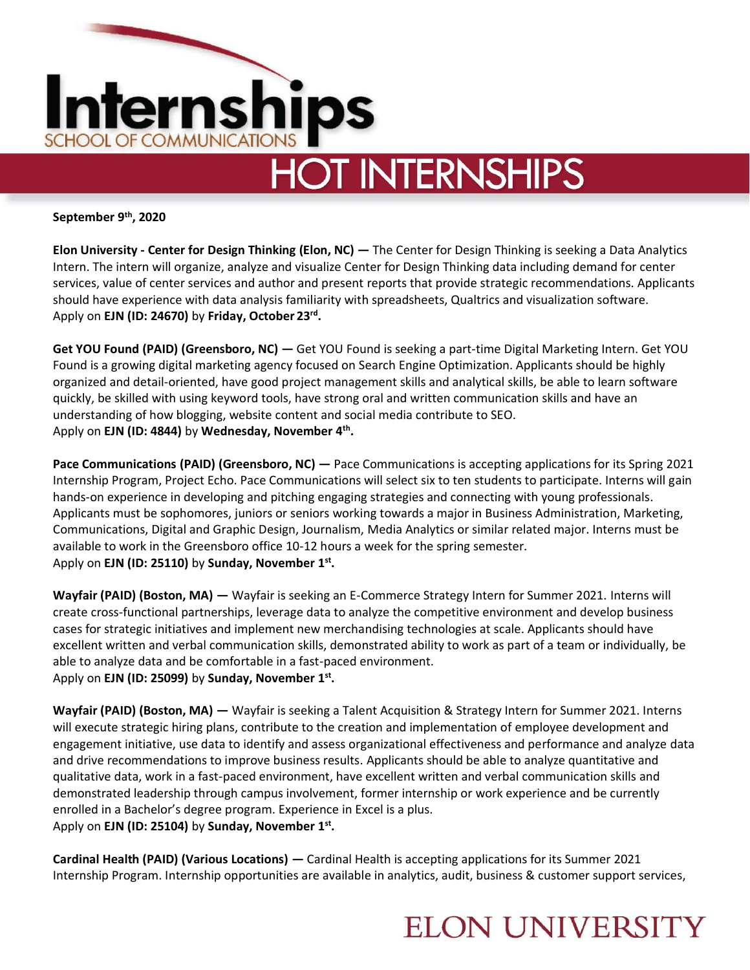

**September 9th, 2020**

**Elon University - Center for Design Thinking (Elon, NC) —** The Center for Design Thinking is seeking a Data Analytics Intern. The intern will organize, analyze and visualize Center for Design Thinking data including demand for center services, value of center services and author and present reports that provide strategic recommendations. Applicants should have experience with data analysis familiarity with spreadsheets, Qualtrics and visualization software. Apply on **EJN (ID: 24670)** by **Friday, October 23rd .**

**Get YOU Found (PAID) (Greensboro, NC) —** Get YOU Found is seeking a part-time Digital Marketing Intern. Get YOU Found is a growing digital marketing agency focused on Search Engine Optimization. Applicants should be highly organized and detail-oriented, have good project management skills and analytical skills, be able to learn software quickly, be skilled with using keyword tools, have strong oral and written communication skills and have an understanding of how blogging, website content and social media contribute to SEO. Apply on **EJN (ID: 4844)** by **Wednesday, November 4th .**

**Pace Communications (PAID) (Greensboro, NC) —** Pace Communications is accepting applications for its Spring 2021 Internship Program, Project Echo. Pace Communications will select six to ten students to participate. Interns will gain hands-on experience in developing and pitching engaging strategies and connecting with young professionals. Applicants must be sophomores, juniors or seniors working towards a major in Business Administration, Marketing, Communications, Digital and Graphic Design, Journalism, Media Analytics or similar related major. Interns must be available to work in the Greensboro office 10-12 hours a week for the spring semester. Apply on **EJN (ID: 25110)** by **Sunday, November 1st .**

**Wayfair (PAID) (Boston, MA) —** Wayfair is seeking an E-Commerce Strategy Intern for Summer 2021. Interns will create cross-functional partnerships, leverage data to analyze the competitive environment and develop business cases for strategic initiatives and implement new merchandising technologies at scale. Applicants should have excellent written and verbal communication skills, demonstrated ability to work as part of a team or individually, be able to analyze data and be comfortable in a fast-paced environment. Apply on **EJN (ID: 25099)** by **Sunday, November 1st .**

**Wayfair (PAID) (Boston, MA) —** Wayfair is seeking a Talent Acquisition & Strategy Intern for Summer 2021. Interns will execute strategic hiring plans, contribute to the creation and implementation of employee development and engagement initiative, use data to identify and assess organizational effectiveness and performance and analyze data and drive recommendations to improve business results. Applicants should be able to analyze quantitative and qualitative data, work in a fast-paced environment, have excellent written and verbal communication skills and demonstrated leadership through campus involvement, former internship or work experience and be currently enrolled in a Bachelor's degree program. Experience in Excel is a plus. Apply on **EJN (ID: 25104)** by **Sunday, November 1st .**

**Cardinal Health (PAID) (Various Locations) —** Cardinal Health is accepting applications for its Summer 2021 Internship Program. Internship opportunities are available in analytics, audit, business & customer support services,

## **ELON UNIVERSITY**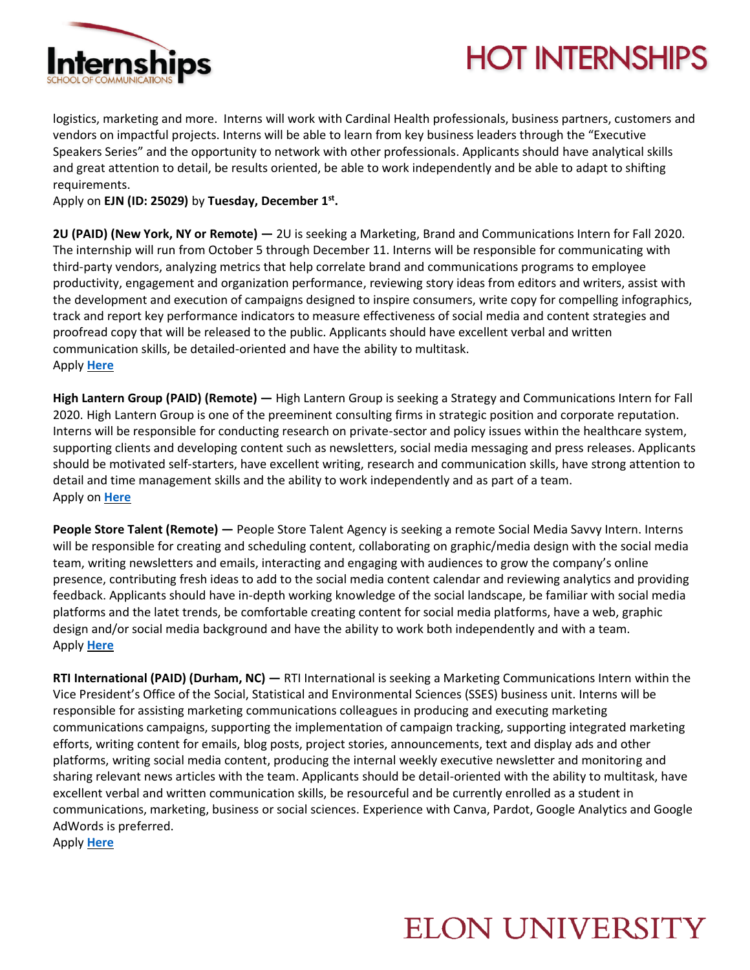

## **HOT INTERNSHIPS**

logistics, marketing and more. Interns will work with Cardinal Health professionals, business partners, customers and vendors on impactful projects. Interns will be able to learn from key business leaders through the "Executive Speakers Series" and the opportunity to network with other professionals. Applicants should have analytical skills and great attention to detail, be results oriented, be able to work independently and be able to adapt to shifting requirements.

Apply on **EJN (ID: 25029)** by **Tuesday, December 1st .**

**2U (PAID) (New York, NY or Remote) —** 2U is seeking a Marketing, Brand and Communications Intern for Fall 2020. The internship will run from October 5 through December 11. Interns will be responsible for communicating with third-party vendors, analyzing metrics that help correlate brand and communications programs to employee productivity, engagement and organization performance, reviewing story ideas from editors and writers, assist with the development and execution of campaigns designed to inspire consumers, write copy for compelling infographics, track and report key performance indicators to measure effectiveness of social media and content strategies and proofread copy that will be released to the public. Applicants should have excellent verbal and written communication skills, be detailed-oriented and have the ability to multitask. Apply **[Here](https://boards.greenhouse.io/2u/jobs/4827615002)**

**High Lantern Group (PAID) (Remote) —** High Lantern Group is seeking a Strategy and Communications Intern for Fall 2020. High Lantern Group is one of the preeminent consulting firms in strategic position and corporate reputation. Interns will be responsible for conducting research on private-sector and policy issues within the healthcare system, supporting clients and developing content such as newsletters, social media messaging and press releases. Applicants should be motivated self-starters, have excellent writing, research and communication skills, have strong attention to detail and time management skills and the ability to work independently and as part of a team. Apply on **[Here](https://www.startwire.com/jobs/remote-or/intern-strategy-communication-1921449561?campaign=127&source=LI)**

**People Store Talent (Remote) —** People Store Talent Agency is seeking a remote Social Media Savvy Intern. Interns will be responsible for creating and scheduling content, collaborating on graphic/media design with the social media team, writing newsletters and emails, interacting and engaging with audiences to grow the company's online presence, contributing fresh ideas to add to the social media content calendar and reviewing analytics and providing feedback. Applicants should have in-depth working knowledge of the social landscape, be familiar with social media platforms and the latet trends, be comfortable creating content for social media platforms, have a web, graphic design and/or social media background and have the ability to work both independently and with a team. Apply **[Here](https://www.linkedin.com/jobs/search/?currentJobId=1989734411&keywords=communications%20internship)**

**RTI International (PAID) (Durham, NC) —** RTI International is seeking a Marketing Communications Intern within the Vice President's Office of the Social, Statistical and Environmental Sciences (SSES) business unit. Interns will be responsible for assisting marketing communications colleagues in producing and executing marketing communications campaigns, supporting the implementation of campaign tracking, supporting integrated marketing efforts, writing content for emails, blog posts, project stories, announcements, text and display ads and other platforms, writing social media content, producing the internal weekly executive newsletter and monitoring and sharing relevant news articles with the team. Applicants should be detail-oriented with the ability to multitask, have excellent verbal and written communication skills, be resourceful and be currently enrolled as a student in communications, marketing, business or social sciences. Experience with Canva, Pardot, Google Analytics and Google AdWords is preferred.

## Apply **[Here](https://rtiint.referrals.selectminds.com/domestic/jobs/marketing-communications-internship-4357?src=JB-10203)**

## **ELON UNIVERSITY**